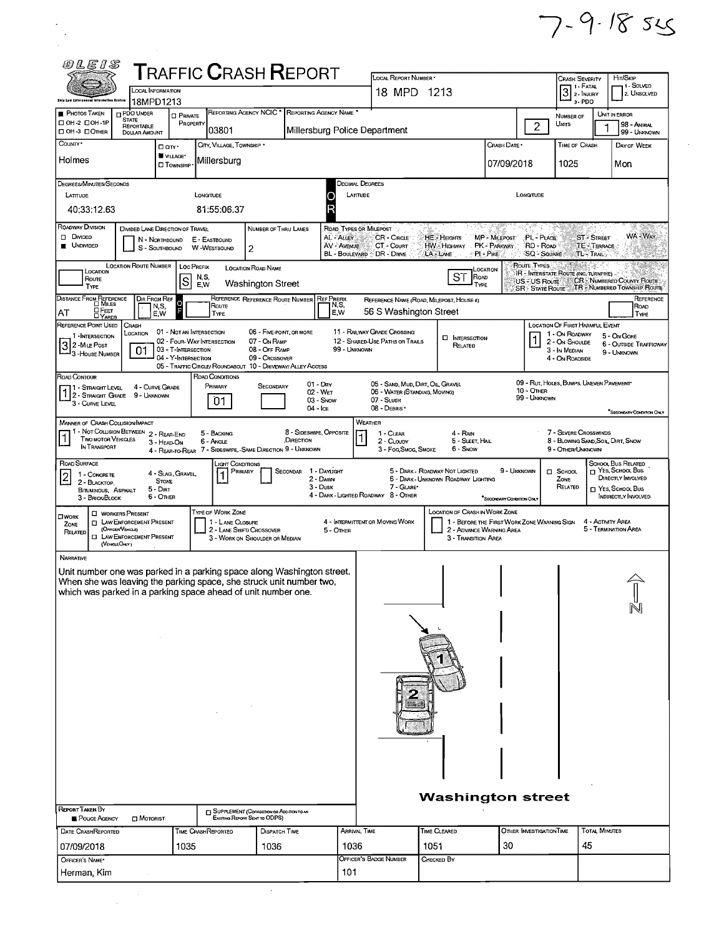

|                                                                                                                                      | <b>LOCAL INFORMATION</b>                                                                                                                |                                                                          |                                                                                         |                                                 | <b>T</b> RAFFIC <b>C</b> RASH <b>R</b> EPORT                           |                                        | LOCAL REPORT NUMBER *<br>18 MPD 1213                                                              |                                                                       |                                                                         |                                 | <b>CRASH SEVERITY</b><br>3 <sup>1. FATAL</sup>                                 | HIT/SKIP                                                                                                             | - 1 - Solved                |
|--------------------------------------------------------------------------------------------------------------------------------------|-----------------------------------------------------------------------------------------------------------------------------------------|--------------------------------------------------------------------------|-----------------------------------------------------------------------------------------|-------------------------------------------------|------------------------------------------------------------------------|----------------------------------------|---------------------------------------------------------------------------------------------------|-----------------------------------------------------------------------|-------------------------------------------------------------------------|---------------------------------|--------------------------------------------------------------------------------|----------------------------------------------------------------------------------------------------------------------|-----------------------------|
| <b>Shie Law Enforcement Information System</b><br>PHOTOS TAKEN                                                                       | 18MPD1213<br>PDO UNDER                                                                                                                  | □ Private                                                                |                                                                                         |                                                 | REPORTING AGENCY NCIC <sup>*</sup> REPORTING AGENCY NAME <sup>*</sup>  |                                        |                                                                                                   |                                                                       |                                                                         |                                 | 3-PDO                                                                          | UNIT IN ERROR                                                                                                        | 2. UNSOLVED                 |
| $\Box$ OH-2 $\Box$ OH-1P<br>C OH-3 COTHER                                                                                            | <b>STATE</b><br><b>REPORTABLE</b><br><b>DOLLAR AMOUNT</b>                                                                               | PROPERTY                                                                 | 03801                                                                                   |                                                 | Millersburg Police Department                                          |                                        |                                                                                                   |                                                                       |                                                                         | 2                               | NUMBER OF<br>UNITS                                                             |                                                                                                                      | 98 - ANIMAL<br>99 - UNKNOWN |
| COUNTY*<br>Holmes                                                                                                                    |                                                                                                                                         | D an <sup>+</sup><br>VILLAGE*                                            | CITY VILLAGE TOWNSHIP *<br>Millersburg                                                  |                                                 |                                                                        |                                        |                                                                                                   |                                                                       | CRASH DATE *<br>07/09/2018                                              |                                 | TIME OF CRASH<br>1025                                                          |                                                                                                                      | DAY OF WEEK                 |
| DEGREES/MINUTES/SECONDS                                                                                                              |                                                                                                                                         | <b>CI</b> TOWNSHIP                                                       |                                                                                         |                                                 |                                                                        | <b>DECIMAL DEGREES</b>                 |                                                                                                   |                                                                       |                                                                         |                                 |                                                                                | Mon                                                                                                                  |                             |
| LATITUDE<br>40:33:12.63                                                                                                              |                                                                                                                                         |                                                                          | LONGITUDE<br>81:55:06.37                                                                |                                                 | O                                                                      | LATITUDE                               |                                                                                                   |                                                                       |                                                                         | LONGITUDE                       |                                                                                |                                                                                                                      |                             |
| ROADWAY DIVISION<br>$\Box$<br>DIVIDED                                                                                                | DIVIDED LANE DIRECTION OF TRAVEL                                                                                                        |                                                                          |                                                                                         | NUMBER OF THRU LANES                            |                                                                        | ROAD TYPES OR MILEPOST<br>AL - ALLEY   |                                                                                                   | HE - Herains                                                          | MP - MILEPOST                                                           | PL-PLACE                        |                                                                                | <b>ST-STREET</b>                                                                                                     | WA - Way                    |
| <b>UNDIVIDED</b>                                                                                                                     |                                                                                                                                         | N - NORTHBOUND E - EASTBOUND<br>S - SOUTHBOUND                           | W-WESTBOUND                                                                             | $\overline{c}$                                  |                                                                        | AV AVENUE<br>BL - BOULEVARD DR - DRIVE | CR - CIRCLE<br>CT - COURT                                                                         | HW Highway<br>LA LANE                                                 | PK PARKWAY<br>PI - Pike                                                 | RD - ROAD<br><b>SQ - SOUARE</b> | TL - TRAILS                                                                    | TE-TERRACE                                                                                                           |                             |
| LOCATION<br>Route<br>TYPE                                                                                                            | LOCATION ROUTE NUMBER                                                                                                                   | <b>LOC PREFIX</b><br>$\mathbf S$                                         | N, S,<br>E.W                                                                            | <b>LOCATION ROAD NAME</b><br>Washington Street  |                                                                        |                                        |                                                                                                   | <b>ST</b><br>ROAD<br>TYPE                                             | LOCATION                                                                | ROUTE TYPES<br>US - US Route    | IR - INTERSTATE ROUTE (INC. TURNPIKE)                                          | <b>CR - NUMBERED COUNTY ROUTE</b>                                                                                    |                             |
| DISTANCE FROM REFERENCE                                                                                                              | Dir From Ref<br>N,S,                                                                                                                    | $\frac{0}{F}$                                                            | Route                                                                                   | REFERENCE REFERENCE ROUTE NUMBER                | <b>REF PREFIX</b><br>IN,S,                                             |                                        |                                                                                                   | REFERENCE NAME (ROAD, MILEPOST, HOUSE 4)                              |                                                                         |                                 | SR - STATE ROUTE TR - NUMBERED TOWNSHIP ROUTE                                  |                                                                                                                      | REFERENCE<br>ROAD           |
| <b>OFEET</b><br>OYARDS<br>AT<br>REFERENCE POINT USED                                                                                 | E, W<br>CRASH<br>LOCATION                                                                                                               | 01 - NOT AN INTERSECTION                                                 | TYPE                                                                                    | 06 - FIVE-POINT, OR MORE                        | E,W                                                                    | 11 - RAILWAY GRADE CROSSING            | 56 S Washington Street                                                                            |                                                                       |                                                                         |                                 | LOCATION OF FIRST HARMFUL EVENT<br>1 - On ROADWAY                              |                                                                                                                      | TYPE                        |
| 1 - INTERSECTION<br>32-MILE POST<br>-3 - House Number                                                                                | 01                                                                                                                                      | 02 - FOUR-WAY INTERSECTION<br>03 - T-INTERSECTION<br>04 - Y-INTERSECTION | 05 - TRAFFIC CIRCLE/ ROUNDABOUT 10 - DRIVEWAY/ ALLEY ACCESS                             | 07 - On RAMP<br>08 - OFF RAMP<br>09 - Crossover |                                                                        | 99 - UNKNOWN                           | 12 - SHARED-USE PATHS OR TRAILS                                                                   | <b>D</b> INTERSECTION<br>RELATED                                      |                                                                         |                                 | 2 - ON SHOULDE<br>3 - In MEDIAN<br>4 - ON ROADSIDE                             | 5 - On Gore<br>9 - UNKNOWN                                                                                           | 6 - OUTSIDE TRAFFICWAY      |
| ROAD CONTOUR<br>11 - Straight Level<br>1 2 - STRAIGHT GRADE 9 - UNKNOWN<br>3 - CURVE LEVEL                                           | 4 - CURVE GRADE                                                                                                                         |                                                                          | ROAD CONDITIONS<br>PRIMARY<br>01                                                        | SECONDARY                                       | $01 - \text{Dry}$<br>02 - Wet<br>03 Snow<br>04 - Ice                   |                                        | 05 - SAND, MUD, DIRT, OIL, GRAVEL<br>06 - WATER (STANDING, MOVING)<br>07 - SLUSH<br>08 - DEBRIS · |                                                                       |                                                                         | 10 - OTHER<br>99 - UNKNOWN      | 09 - RUT, HOLES, BUMPS, UNEVEN PAVEMENT                                        |                                                                                                                      | "SECONDARY CONDITION ONLY   |
| MANNER OF CRASH COLLISION/IMPACT<br><b>TWO MOTOR VEHICLES</b><br>IN TRANSPORT                                                        | 1 - Not Collision Between 2 - Rear-End                                                                                                  | 3 - HEAD-ON                                                              | 5 - BACKING<br>6 - Angle<br>4 - REAR-TO-REAR 7 - SIDESWIPE, -SAME DIRECTION 9 - UNKNOWN |                                                 | 8 - SIDESWIPE, OPPOSITE<br>.DIRECTION                                  | WEATHER                                | 1 - CLEAR<br>2 - CLOUDY<br>3 - Fog, Smog, Smoke                                                   | 4 - RAN<br>5 - SLEET, HAIL<br>6 - Snow                                |                                                                         |                                 | 7 - SEVERE CROSSWINDS<br>8 - BLOWING SAND SOIL DIRT, SNOW<br>9 - OTHER/UNKNOWN |                                                                                                                      |                             |
| ROAD SURFACE<br>1 - CONCRETE<br>2<br>2 - BLACKTOP,<br><b>BITUMINOUS</b> ASPHALT<br>3 - BRICK/BLOCK                                   | $5 - DIRT$                                                                                                                              | 4 - Slag, Gravel,<br><b>STONE</b><br>6 - OTHER                           | Light Conditions<br>PRIMARY                                                             |                                                 | SECONDAR 1 - DAYLIGHT<br>2 - DAWN<br>$3 - D$ usk                       |                                        | 7 - GLARE*<br>4 - DARK - LIGHTED ROADWAY 8 - OTHER                                                | 5 - DARK - ROADWAY NOT LIGHTED<br>6 - DARK - UNKNOWN ROADWAY LIGHTING | 9 - UNKNOWN<br><sup>*</sup> SECONDARY CONDITION ONLY                    |                                 | $\Box$ SCHOOL<br>ZONE<br>RELATED                                               | SCHOOL BUS RELATED<br>$\Box$ Yes, School Bus<br>DIRECTLY INVOLVED<br>T YES, SCHOOL BUS<br><b>INDIRECTLY INVOLVED</b> |                             |
| <b>OWORK</b><br>ZONE<br>RELATED                                                                                                      | <b>C WORKERS PRESENT</b><br><b>CI LAW ENFORCEMENT PRESENT</b><br>(OFFICER VEHICLE)<br><b>I LAW ENFORCEMENT PRESENT</b><br>(VEHOLE ONLY) |                                                                          | TYPE OF WORK ZONE<br>1 - LANE CLOSURE<br>2 - LANE SHIFT/ CROSSOVER                      | 3 - WORK ON SHOULDER OR MEDIAN                  | 5 - OTHER                                                              | 4 - INTERMITTENT OR MOVING WORK        |                                                                                                   | <b>LOCATION OF CRASH IN WORK ZONE</b><br>3 - Transition Area          | 1 - BEFORE THE FIRST WORK ZONE WARNING SIGN<br>2 - ADVANCE WARNING AREA |                                 |                                                                                | 4 - ACTIVITY AREA<br>5 - TERMINATION AREA                                                                            |                             |
| <b>NARRATIVE</b>                                                                                                                     |                                                                                                                                         |                                                                          |                                                                                         |                                                 |                                                                        |                                        |                                                                                                   |                                                                       |                                                                         |                                 |                                                                                |                                                                                                                      |                             |
| When she was leaving the parking space, she struck unit number two,<br>which was parked in a parking space ahead of unit number one. |                                                                                                                                         |                                                                          |                                                                                         |                                                 | Unit number one was parked in a parking space along Washington street. |                                        |                                                                                                   |                                                                       |                                                                         |                                 |                                                                                |                                                                                                                      |                             |
|                                                                                                                                      |                                                                                                                                         |                                                                          |                                                                                         |                                                 |                                                                        |                                        |                                                                                                   |                                                                       |                                                                         |                                 |                                                                                |                                                                                                                      |                             |
|                                                                                                                                      |                                                                                                                                         |                                                                          |                                                                                         |                                                 |                                                                        |                                        |                                                                                                   |                                                                       |                                                                         |                                 |                                                                                |                                                                                                                      |                             |
|                                                                                                                                      |                                                                                                                                         |                                                                          |                                                                                         |                                                 |                                                                        |                                        |                                                                                                   |                                                                       |                                                                         |                                 |                                                                                |                                                                                                                      |                             |
|                                                                                                                                      |                                                                                                                                         |                                                                          |                                                                                         |                                                 |                                                                        |                                        |                                                                                                   |                                                                       |                                                                         |                                 |                                                                                |                                                                                                                      |                             |
| <b>REPORT TAKEN BY</b>                                                                                                               | <b>D</b> MOTORIST                                                                                                                       |                                                                          | <b>SUPPLEMENT (CORRECTION OR ADDITION TO AN</b>                                         | Existing Report Sent to ODPS)                   |                                                                        |                                        |                                                                                                   | <b>Washington street</b>                                              |                                                                         |                                 |                                                                                |                                                                                                                      |                             |
| POLICE AGENCY                                                                                                                        |                                                                                                                                         |                                                                          |                                                                                         | <b>DISPATCH TIME</b>                            |                                                                        | <b>ARRIVAL TIME</b>                    |                                                                                                   | TIME CLEARED                                                          |                                                                         | OTHER INVESTIGATION TIME        |                                                                                | <b>TOTAL MINUTES</b>                                                                                                 |                             |
| DATE CRASHREPORTED<br>07/09/2018                                                                                                     |                                                                                                                                         | 1035                                                                     | <b>TIME CRASHREPORTED</b>                                                               | 1036                                            |                                                                        | 1036                                   |                                                                                                   | 1051                                                                  | 30                                                                      |                                 | 45                                                                             |                                                                                                                      |                             |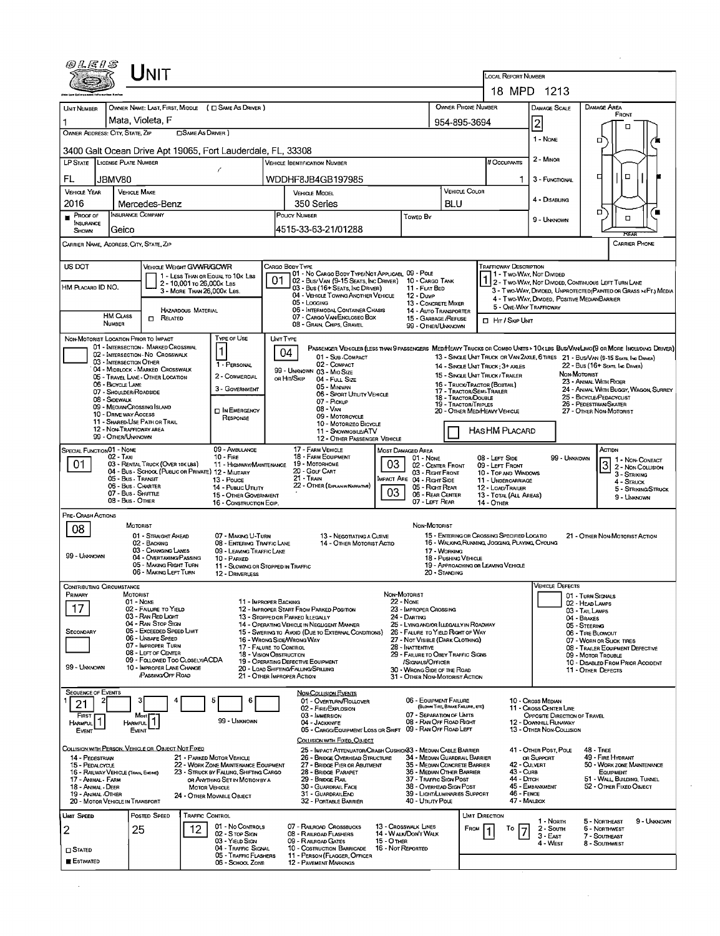|                                          |                                    | Init                                                                         |                                                         |                                                                          |                                                                                                                                                                                                      |                                                                                                                                                                                |                                  |                                                               |                                     |                                            | <b>LOCAL REPORT NUMBER</b><br>18 MPD 1213                                                                                      |                                                        |                                                                            |                                                                                                                       |                                                                  |  |
|------------------------------------------|------------------------------------|------------------------------------------------------------------------------|---------------------------------------------------------|--------------------------------------------------------------------------|------------------------------------------------------------------------------------------------------------------------------------------------------------------------------------------------------|--------------------------------------------------------------------------------------------------------------------------------------------------------------------------------|----------------------------------|---------------------------------------------------------------|-------------------------------------|--------------------------------------------|--------------------------------------------------------------------------------------------------------------------------------|--------------------------------------------------------|----------------------------------------------------------------------------|-----------------------------------------------------------------------------------------------------------------------|------------------------------------------------------------------|--|
| <b>UNIT NUMBER</b>                       |                                    | OWNER NAME: LAST, FIRST, MIDDLE ( C SAME AS DRIVER )                         |                                                         |                                                                          |                                                                                                                                                                                                      |                                                                                                                                                                                |                                  |                                                               | OWNER PHONE NUMBER                  |                                            |                                                                                                                                |                                                        |                                                                            | DAMAGE AREA                                                                                                           |                                                                  |  |
|                                          |                                    | Mata, Violeta, F                                                             |                                                         |                                                                          |                                                                                                                                                                                                      |                                                                                                                                                                                |                                  |                                                               |                                     | 954-895-3694                               | <b>DAMAGE SCALE</b>                                                                                                            |                                                        |                                                                            |                                                                                                                       | FRONT                                                            |  |
| OWNER ADDRESS: CITY, STATE, ZIP          |                                    | <b>CISAME AS DRIVER 1</b>                                                    |                                                         |                                                                          |                                                                                                                                                                                                      |                                                                                                                                                                                |                                  |                                                               | $\overline{\mathbf{c}}$<br>1 - None |                                            | σ                                                                                                                              | п                                                      |                                                                            |                                                                                                                       |                                                                  |  |
|                                          |                                    | 3400 Galt Ocean Drive Apt 19065, Fort Lauderdale, FL, 33308                  |                                                         |                                                                          |                                                                                                                                                                                                      |                                                                                                                                                                                |                                  |                                                               |                                     |                                            |                                                                                                                                | 2 - MINOR                                              |                                                                            |                                                                                                                       |                                                                  |  |
| LP STATE LICENSE PLATE NUMBER            |                                    |                                                                              |                                                         | ť                                                                        |                                                                                                                                                                                                      | <b>VEHICLE IDENTIFICATION NUMBER</b>                                                                                                                                           |                                  |                                                               |                                     |                                            | # Occupants                                                                                                                    |                                                        |                                                                            | □                                                                                                                     | α                                                                |  |
| FL.<br><b>VEHICLE YEAR</b>               | JBMV80                             | <b>VEHICLE MAKE</b>                                                          |                                                         |                                                                          |                                                                                                                                                                                                      | WDDHF8JB4GB197985<br><b>VEHICLE MODEL</b>                                                                                                                                      |                                  |                                                               |                                     | VEHICLE COLOR                              | 1.                                                                                                                             | 3 - FUNCTIONAL                                         |                                                                            |                                                                                                                       |                                                                  |  |
| 2016                                     |                                    | Mercedes-Benz                                                                |                                                         |                                                                          | 350 Series                                                                                                                                                                                           |                                                                                                                                                                                |                                  |                                                               |                                     | <b>BLU</b>                                 |                                                                                                                                | 4 - DISABLING                                          |                                                                            |                                                                                                                       |                                                                  |  |
| $P_{\text{ROOF OF}}$<br><b>INSURANCE</b> |                                    | INSURANCE COMPANY<br>Geico                                                   |                                                         |                                                                          | POLICY NUMBER<br>Towed By                                                                                                                                                                            |                                                                                                                                                                                |                                  |                                                               |                                     |                                            |                                                                                                                                | 9 - UNKNOWN                                            |                                                                            | о                                                                                                                     | $\Box$                                                           |  |
| <b>SHOWN</b>                             |                                    | CARRIER NAME, ADDRESS, CITY, STATE, ZIP                                      |                                                         |                                                                          |                                                                                                                                                                                                      | 4515-33-63-21/01288                                                                                                                                                            |                                  |                                                               |                                     |                                            |                                                                                                                                |                                                        |                                                                            |                                                                                                                       | ਸਵਨਾ<br>CARRIER PHONE                                            |  |
| US DOT                                   |                                    |                                                                              |                                                         |                                                                          | CARGO BODY TYPE                                                                                                                                                                                      |                                                                                                                                                                                |                                  |                                                               |                                     |                                            | TRAFFICWAY DESCRIPTION                                                                                                         |                                                        |                                                                            |                                                                                                                       |                                                                  |  |
|                                          |                                    | VEHICLE WEIGHT GVWR/GCWR                                                     |                                                         | 1 - LESS THAN OR EQUAL TO 10K LBS                                        | 01                                                                                                                                                                                                   | 01 - No CARGO BODY TYPE/NOT APPLICABL 09 - POLE<br>02 - Bus/ VAN (9-15 SEATS, INC DRIVER)                                                                                      |                                  | 10 - Cargo Tank                                               |                                     |                                            |                                                                                                                                | 1 - Two-Way, Not Divided                               |                                                                            | 2 - Two-Way, Not Divided, Continuous LEFT TURN LANE                                                                   |                                                                  |  |
| HM PLACARD ID NO.                        |                                    |                                                                              | 2 - 10,001 To 26,000K Las<br>3 - MORE THAN 26,000K LBS. |                                                                          |                                                                                                                                                                                                      | 03 - Bus (16+ SEATS, INC DRIVER)<br>04 - VEHICLE TOWING ANOTHER VEHICLE                                                                                                        |                                  | 11 - FLAT BED<br>12 - Dump                                    |                                     |                                            |                                                                                                                                |                                                        |                                                                            | 4 - Two-Way, Divided, Positive MedianBarrier                                                                          | 3 - Two-Way, DIVIDED, UNPROTECTED (PAINTED OR GRASS >4FT.) MEDIA |  |
|                                          | HM CLASS                           |                                                                              | HAZARDOUS MATERIAL                                      |                                                                          |                                                                                                                                                                                                      | 05 - Locging<br>06 - INTERMODAL CONTAINER CHASIS                                                                                                                               |                                  | 13 - CONCRETE MIXER<br>14 - Auto Transporter                  |                                     |                                            |                                                                                                                                | 5 - ONE-WAY TRAFFICWAY                                 |                                                                            |                                                                                                                       |                                                                  |  |
|                                          | NUMBER                             | $R$ <i>ELATED</i>                                                            |                                                         |                                                                          |                                                                                                                                                                                                      | 07 - CARGO VAN ENCLOSEO BOX<br>08 - GRAIN, CHIPS, GRAVEL                                                                                                                       |                                  | 15 - GARBAGE /REFUSE<br>99 - OTHER/UNKNOWN                    |                                     |                                            | <b>D</b> HIT / SKIP UNT                                                                                                        |                                                        |                                                                            |                                                                                                                       |                                                                  |  |
|                                          |                                    | NON-MOTORIST LOCATION PRIOR TO IMPACT<br>01 - INTERSECTION - MARKED CROSSWAL |                                                         | Type or Use                                                              | <b>UNIT TYPE</b>                                                                                                                                                                                     | PASSENGER VEHICLES (LESS THAN 9 PASSENGERS MED/HEAVY TRUCKS OR COMBO UNITS > 10K LBS BUS/VAN/LIMO(9 OR MORE INCLUDING DRIVER)                                                  |                                  |                                                               |                                     |                                            |                                                                                                                                |                                                        |                                                                            |                                                                                                                       |                                                                  |  |
|                                          |                                    | 02 - INTERSECTION - NO CROSSWALK<br>03 - INTERSECTION OTHER                  |                                                         | 1 - PERSONAL                                                             | 04                                                                                                                                                                                                   | 01 - Sub-COMPACT<br>02 - COMPACT                                                                                                                                               |                                  |                                                               |                                     |                                            | 14 - SINGLE UNIT TRUCK: 3+ AXLES                                                                                               |                                                        |                                                                            | 13 - SINGLE UNIT TRUCK OR VAN 2AXLE, 6 TIRES 21 - BUS/VAN (9-15 SEATS, INC DRIVER)<br>22 - Bus (16+ Sears, Inc Daver) |                                                                  |  |
|                                          |                                    | 04 - MIDBLOCK - MARKED CROSSWALK<br>05 - Travel LANE - OTHER LOCATION        |                                                         | 2 - COMMERCIAL                                                           | OR HIT/SKIP                                                                                                                                                                                          | 99 - UNKNOWN 03 - MIO SIZE<br>04 - FULL SIZE                                                                                                                                   |                                  |                                                               |                                     |                                            | 15 - SINGLE UNIT TRUCK / TRAILER                                                                                               | NON-MOTORIST<br>23 - ANIMAL WITH RIOER                 |                                                                            |                                                                                                                       |                                                                  |  |
|                                          | 06 - BICYCLE LANE<br>08 - SIDEWALK | 07 - Shoulder/Roadside                                                       |                                                         | 3 - GOVERNMENT                                                           |                                                                                                                                                                                                      | 05 - MINIVAN<br>06 - Sport UTIUTY VEHICLE                                                                                                                                      |                                  |                                                               | 18 - Tractor/Double                 |                                            | 16 - TRUCK/TRACTOR (BOBTAIL)<br>24 - ANIMAL WITH BUGGY, WAGON, SURREY<br>17 - TRACTOR/SEMI-TRAILER<br>25 - BICYCLE/PEDACYCLIST |                                                        |                                                                            |                                                                                                                       |                                                                  |  |
|                                          |                                    | 09 - MEOIAN CROSSING ISLAND<br>10 - DRIVE WAY ACCESS                         |                                                         | <b>DIN EMERGENCY</b>                                                     | 07 - PICKUP<br><b>19 - TRACTOR/TRIPLES</b><br>08 - VAN<br>09 - MOTORCYCLE                                                                                                                            |                                                                                                                                                                                |                                  |                                                               |                                     |                                            | 20 - OTHER MED/HEAVY VEHICLE                                                                                                   |                                                        |                                                                            | 26 - PEDESTRIAN/SKATER<br>27 - OTHER NON MOTORIST                                                                     |                                                                  |  |
|                                          |                                    | 11 - SHARED-USE PATH OR TRAIL<br>12 - NON-TRAFFICWAY AREA                    |                                                         | RESPONSE                                                                 | 10 - MOTORIZEO BICYCLE<br>11 - SNOWMOBILE/ATV                                                                                                                                                        |                                                                                                                                                                                |                                  |                                                               |                                     |                                            | HAS HM PLACARD                                                                                                                 |                                                        |                                                                            |                                                                                                                       |                                                                  |  |
| <b>SPECIAL FUNCTIONO1 - NONE</b>         |                                    | 99 - OTHER/UNKNOWN                                                           |                                                         | 09 - AMBULANCE                                                           |                                                                                                                                                                                                      | 12 - OTHER PASSENGER VEHICLE<br>17 - FARM VEHICLE                                                                                                                              |                                  |                                                               |                                     |                                            |                                                                                                                                |                                                        |                                                                            | Астрм                                                                                                                 |                                                                  |  |
| 01                                       | 02 - TAXI                          | 03 - RENTAL TRUCK (OVER 10KLBS)                                              |                                                         | 10 - FIRE<br>11 - HIGHWAY/MAINTENANCE                                    | Most Damaged Area<br>18 - FARM EQUIPMENT<br>01 - None<br>03<br>19 - Мотовноме<br>02 - CENTER FRONT<br>20 - GDLF CART<br>03 - Right Front<br>21 - Train<br>Impact Are 04 - Right Side                 |                                                                                                                                                                                |                                  |                                                               |                                     |                                            | 08 - Left Side<br>09 - LEFT FRONT                                                                                              |                                                        | 99 - UNKNOWN                                                               | $\overline{3}$                                                                                                        | 1 1 - Non-Contact                                                |  |
|                                          |                                    | 04 - Bus - School (Public or Private) 12 - MILITARY<br>05 - Bus - Transit    |                                                         | 13 - Pouce                                                               |                                                                                                                                                                                                      |                                                                                                                                                                                |                                  |                                                               |                                     | 10 - TOP AND WINDOWS<br>11 - UNDERCARRIAGE |                                                                                                                                |                                                        |                                                                            |                                                                                                                       | 2 - Non-Collision<br>3 - STRIKING<br>4 - Struck                  |  |
|                                          |                                    | 06 - Bus - Charter<br>07 - Bus - SHUTTLE                                     |                                                         | 14 - Pusuc Unuty<br>15 - OTHER GOVERNMENT                                |                                                                                                                                                                                                      | 22 - OTHER (EXPLAN IN NARRATIVE)                                                                                                                                               | 03                               | 05 - Right Rear<br>06 - REAR CENTER                           |                                     |                                            | 12 - LOAD/TRAILER<br>13 - TOTAL (ALL AREAS)                                                                                    |                                                        |                                                                            |                                                                                                                       | 5 - STRIKING/STRUCK<br>9 - UNKNOWN                               |  |
| PRE-CRASH ACTIONS                        |                                    | 08 - Bus - OTHER                                                             |                                                         | 16 - CONSTRUCTION EQIP.                                                  |                                                                                                                                                                                                      |                                                                                                                                                                                |                                  | 07 - LEFT REAR                                                |                                     |                                            | 14 - OTHER                                                                                                                     |                                                        |                                                                            |                                                                                                                       |                                                                  |  |
| 08                                       |                                    | MOTORIST<br>01 - STRAIGHT AHEAD                                              |                                                         | 07 - MAKING U-TURN                                                       |                                                                                                                                                                                                      |                                                                                                                                                                                |                                  | NON-MOTORIST                                                  |                                     |                                            | 15 - ENTERING OR CROSSING SPECIFIED LOCATIO                                                                                    |                                                        |                                                                            |                                                                                                                       |                                                                  |  |
|                                          |                                    | 02 - BACKING<br>03 - CHANGING LANES                                          |                                                         | 08 - ENTERING TRAFFIC LANE<br>09 - LEAVING TRAFFIC LANE                  | 13 - NEGOTIATING A CURVE<br>14 - OTHER MOTORIST ACTID<br>17 - WORKING                                                                                                                                |                                                                                                                                                                                |                                  |                                                               |                                     |                                            | 16 - WALKING, RUNNING, JOGGING, PLAYING, CYCLING                                                                               |                                                        | 21 - OTHER NON-MOTORIST ACTION                                             |                                                                                                                       |                                                                  |  |
| 99 - UNKNOWN                             |                                    | 04 - OVERTAKING PASSING<br>05 - MAKING RIGHT TURN                            |                                                         | 10 - PARKED<br>11 - SLOWING OR STOPPED IN TRAFFIC                        |                                                                                                                                                                                                      |                                                                                                                                                                                |                                  | 18 - Pushing Vehicle<br>19 - APPROACHING OR LEAVING VEHICLE   |                                     |                                            |                                                                                                                                |                                                        |                                                                            |                                                                                                                       |                                                                  |  |
|                                          |                                    | 06 - MAKING LEFT TURN                                                        |                                                         | 12 - DRIVERLESS                                                          |                                                                                                                                                                                                      |                                                                                                                                                                                |                                  |                                                               | 20 - STANDING                       |                                            |                                                                                                                                |                                                        | <b>VEHICLE DEFECTS</b>                                                     |                                                                                                                       |                                                                  |  |
| CONTRIBUTING CIRCUMSTANCE<br>PRIMARY     |                                    | MOTORIST<br>$01 - None$                                                      |                                                         |                                                                          | 11 - IMPROPER BACKING                                                                                                                                                                                |                                                                                                                                                                                |                                  | NON-MOTORIST<br><b>22 - NONE</b>                              |                                     |                                            |                                                                                                                                |                                                        |                                                                            | 01 - TURN SIGNALS                                                                                                     |                                                                  |  |
| 17                                       |                                    | 02 - FALURE TO YIELD<br>03 - RAN RED LIGHT                                   |                                                         |                                                                          |                                                                                                                                                                                                      | 23 - IMPROPER CROSSING<br>12 - IMPROPER START FROM PARKED POSITION<br>13 - Stopped or Parked LLEGALLY<br>24 - DARTING                                                          |                                  |                                                               |                                     |                                            |                                                                                                                                |                                                        | 02 HEAD LAMPS<br>03 - TAIL LAMPS                                           |                                                                                                                       |                                                                  |  |
| SECONDARY                                |                                    | 04 - RAN STOP SIGN<br>05 - Exceeped Speed Limit                              |                                                         |                                                                          |                                                                                                                                                                                                      | 14 - OPERATING VEHICLE IN NEGLIGENT MANNER<br>25 - LYING AND/OR LLEGALLY IN ROADWAY<br>26 - FALURE TO YIELD RIGHT OF WAY<br>15 - Swering to Avoid (Due to External Conditions) |                                  |                                                               |                                     |                                            |                                                                                                                                |                                                        | 04 - BRAKES<br>05 - STEERING<br>06 - TIRE BLOWOUT                          |                                                                                                                       |                                                                  |  |
|                                          |                                    | 06 - UNSAFE SPEED<br>07 - IMPROPER TURN<br>08 - LEFT OF CENTER               |                                                         |                                                                          |                                                                                                                                                                                                      | 16 - Wrong Side/Wrong Way<br>27 - NOT VISIBLE (DARK CLOTHING)<br>17 - FALURE TO CONTROL<br>28 - INATTENTIVE                                                                    |                                  |                                                               |                                     |                                            |                                                                                                                                |                                                        |                                                                            | 07 - WORN OR SLICK TIRES<br>08 - TRALER EQUIPMENT DEFECTIVE                                                           |                                                                  |  |
| 99 - UNKNOWN                             |                                    | 09 - FOLLOWED TOO CLOSELY/ACDA<br>10 - IMPROPER LANE CHANGE                  |                                                         |                                                                          | <b>18 - VISION OBSTRUCTION</b><br>29 - FAILURE TO OBEY TRAFFIC SIGNS<br>19 - OPERATING DEFECTIVE EQUIPMENT<br>/SIGNALS/OFFICER<br>20 - LOAD SHIFTING/FALLING/SPILLING<br>30 - WRONG SIDE OF THE ROAD |                                                                                                                                                                                |                                  |                                                               |                                     |                                            |                                                                                                                                |                                                        |                                                                            | 09 - Motor Trouble<br>10 - DISABLED FROM PRIOR ACCIDENT<br>11 - OTHER DEFECTS                                         |                                                                  |  |
|                                          |                                    | PASSING OFF ROAD                                                             |                                                         |                                                                          | 21 - OTHER IMPROPER ACTION                                                                                                                                                                           |                                                                                                                                                                                |                                  | 31 - OTHER NON-MOTORIST ACTION                                |                                     |                                            |                                                                                                                                |                                                        |                                                                            |                                                                                                                       |                                                                  |  |
| <b>SEQUENCE OF EVENTS</b><br>21          |                                    |                                                                              |                                                         | 5<br>6                                                                   |                                                                                                                                                                                                      | <b>NON-COLLISION EVENTS</b><br>01 - Overturn/Rollover                                                                                                                          |                                  | 06 - EQUIPMENT FAILURE                                        |                                     |                                            |                                                                                                                                | 10 - Cross Median                                      |                                                                            |                                                                                                                       |                                                                  |  |
| FIRST                                    |                                    |                                                                              |                                                         |                                                                          |                                                                                                                                                                                                      | 02 - FIRE/EXPLOSION<br>03 - IMMERSION                                                                                                                                          |                                  | 07 - SEPARATION OF UNITS                                      | (BLOWN TIRE, BRAKE FAILURE, ETC)    |                                            |                                                                                                                                | 11 - Cross CENTER LINE<br>OPPOSITE DIRECTION OF TRAVEL |                                                                            |                                                                                                                       |                                                                  |  |
| Harmful<br>Event                         |                                    | <b>HARMFUL</b><br>EVENT                                                      |                                                         | 99 - UNKNOWN                                                             |                                                                                                                                                                                                      | 04 - JACKKNIFE<br>05 - CARGO/EQUIPMENT LOSS OR SHIFT 09 - RAN OFF ROAD LEFT                                                                                                    |                                  | 08 - RAN OFF ROAD RIGHT                                       |                                     |                                            |                                                                                                                                | 12 - DOWNHILL RUNAWAY<br>13 - OTHER NON-COLLISION      |                                                                            |                                                                                                                       |                                                                  |  |
|                                          |                                    | COLLISION WITH PERSON, VEHICLE OR OBJECT NOT FIXED                           |                                                         |                                                                          |                                                                                                                                                                                                      | COLLISION WITH FIXED, OBJECT<br>25 - IMPACT ATTENUATOR/CRASH CUSHION33 - MEDIAN CABLE BARRIER                                                                                  |                                  |                                                               |                                     |                                            |                                                                                                                                | 41 - OTHER POST, POLE                                  |                                                                            | <b>48 - TREE</b>                                                                                                      |                                                                  |  |
| 14 - PEDESTRIAN<br>15 - PEDALCYCLE       |                                    |                                                                              |                                                         | 21 - PARKED MOTOR VEHICLE<br>22 - WORK ZONE MAINTENANCE EQUIPMENT        |                                                                                                                                                                                                      | 26 - BRIDGE OVERHEAD STRUCTURE<br>27 - BRIDGE PIER OR ABUTMENT                                                                                                                 |                                  | 34 - MEDIAN GUARDRAIL BARRIER<br>35 - MEDIAN CONCRETE BARRIER |                                     |                                            |                                                                                                                                | OR SUPPORT<br>42 - CULVERT                             |                                                                            | 49 - FIRE HYDRANT                                                                                                     | 50 - WORK ZONE MAINTENANCE                                       |  |
| 17 - Animal - Farm<br>18 - Animal - Deer |                                    | 16 - RAILWAY VEHICLE (TRAIN, ENDINE)                                         | <b>MOTOR VEHICLE</b>                                    | 23 - STRUCK BY FALLING, SHIFTING CARGO<br>OR ANYTHING SET IN MOTION BY A |                                                                                                                                                                                                      | 28 - BRIDGE PARAPET<br>36 - MEDIAN OTHER BARRIER<br>37 - TRAFFIC SIGN POST<br>29 - BRIDGE RAIL<br>38 - Overhead Sign Post<br>30 - GUARDRAIL FACE                               |                                  |                                                               |                                     |                                            | 43 - Curs<br>44 - Олтсн                                                                                                        | 45 - EMBANXMENT                                        | <b>EQUIPMENT</b><br>51 - WALL, BUILDING, TUNNEL<br>52 - OTHER FIXED OBJECT |                                                                                                                       |                                                                  |  |
| 19 - ANIMAL - OTHER                      |                                    | 20 - MOTOR VEHICLE IN TRANSPORT                                              |                                                         | 24 - OTHER MOVABLE OBJECT                                                |                                                                                                                                                                                                      | 31 - GUARDRAILEND<br>32 - PORTABLE BARRIER                                                                                                                                     |                                  | 39 - LIGHT/LUMINARIES SUPPORT<br>40 - UTIUTY POLE             |                                     |                                            |                                                                                                                                | 46 - FENCE<br>47 - MAILBOX                             |                                                                            |                                                                                                                       |                                                                  |  |
| <b>UNIT SPEED</b>                        |                                    | POSTED SPEED                                                                 | <b>TRAFFIC CONTROL</b>                                  |                                                                          |                                                                                                                                                                                                      |                                                                                                                                                                                |                                  |                                                               |                                     | <b>UMT DIRECTION</b>                       |                                                                                                                                | 1 - North                                              |                                                                            | 5 - NORTHEAST                                                                                                         | 9 - Unknown                                                      |  |
| 2                                        |                                    | 25                                                                           | 12                                                      | 01 - No CONTROLS<br>02 - S TOP SIGN                                      |                                                                                                                                                                                                      | 07 - RAILROAD CROSSBUCKS<br>08 - RAILROAD FLASHERS                                                                                                                             |                                  | 13 - Crosswalk LINES<br>14 - WALK/DON'T WALK                  |                                     | FROM                                       | То                                                                                                                             | 2 - South<br>$3 - EAST$                                |                                                                            | <b>6 - NORTHWEST</b><br>7 - SOUTHEAST                                                                                 |                                                                  |  |
| $\square$ Stated                         |                                    |                                                                              |                                                         | 03 - YIELD SIGN<br>04 - TRAFFIC SIGNAL<br>05 - TRAFFIC FLASHERS          |                                                                                                                                                                                                      | 09 - RALROAD GATES<br>10 - Costruction Barricade<br>11 - PERSON (FLAGGER, OFFICER                                                                                              | 15 - O THER<br>16 - Not Reported |                                                               |                                     |                                            |                                                                                                                                | 4 - West                                               |                                                                            | 8 - Southwest                                                                                                         |                                                                  |  |
| <b>E</b> ESTIMATED                       |                                    |                                                                              |                                                         | 06 - SCHOOL ZONE                                                         |                                                                                                                                                                                                      | <b>12 - PAVEMENT MARKINGS</b>                                                                                                                                                  |                                  |                                                               |                                     |                                            |                                                                                                                                |                                                        |                                                                            |                                                                                                                       |                                                                  |  |

 $\sim 10^7$ 

 $\sim 10^{-10}$ 

 $\mathcal{L}^{\text{max}}_{\text{max}}$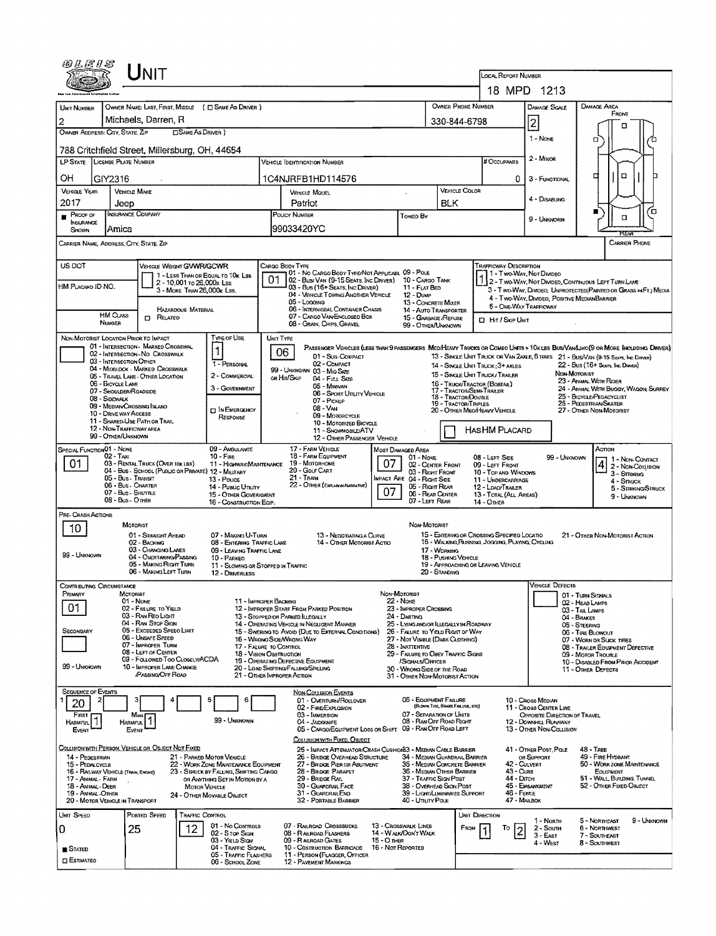|                                         | LINIT                                                                     |                                                         |                                                                                |                                                     |                                                                                                                                                                                 |                                                                     |                                                                               |                                                                                                                                  |                                                                                                      |                                                                                                                        |                                                                                                                               |  |  |  |  |
|-----------------------------------------|---------------------------------------------------------------------------|---------------------------------------------------------|--------------------------------------------------------------------------------|-----------------------------------------------------|---------------------------------------------------------------------------------------------------------------------------------------------------------------------------------|---------------------------------------------------------------------|-------------------------------------------------------------------------------|----------------------------------------------------------------------------------------------------------------------------------|------------------------------------------------------------------------------------------------------|------------------------------------------------------------------------------------------------------------------------|-------------------------------------------------------------------------------------------------------------------------------|--|--|--|--|
|                                         |                                                                           |                                                         |                                                                                |                                                     |                                                                                                                                                                                 |                                                                     |                                                                               |                                                                                                                                  | LOCAL REPORT NUMBER                                                                                  | 18 MPD 1213                                                                                                            |                                                                                                                               |  |  |  |  |
|                                         | OWNER NAME: LAST, FIRST, MIDDLE ( C SAME AS DRIVER )                      |                                                         |                                                                                |                                                     |                                                                                                                                                                                 |                                                                     |                                                                               | OWNER PHONE NUMBER                                                                                                               |                                                                                                      | <b>DAMAGE SCALE</b>                                                                                                    | DAMAGE AREA                                                                                                                   |  |  |  |  |
| <b>UNIT NUMBER</b><br>2                 | Michaels, Darren, R                                                       |                                                         |                                                                                |                                                     |                                                                                                                                                                                 |                                                                     | 330-844-6798                                                                  |                                                                                                                                  |                                                                                                      | FRONT                                                                                                                  |                                                                                                                               |  |  |  |  |
| OWNER ADDRESS: CITY, STATE, ZIP         |                                                                           | <b>CISAME AS DRIVER</b> )                               |                                                                                |                                                     |                                                                                                                                                                                 |                                                                     |                                                                               |                                                                                                                                  |                                                                                                      | $\overline{2}$                                                                                                         | п                                                                                                                             |  |  |  |  |
|                                         | 788 Critchfield Street, Millersburg, OH, 44654                            | 1 - None                                                | о                                                                              |                                                     |                                                                                                                                                                                 |                                                                     |                                                                               |                                                                                                                                  |                                                                                                      |                                                                                                                        |                                                                                                                               |  |  |  |  |
|                                         | LP STATE LICENSE PLATE NUMBER                                             |                                                         |                                                                                |                                                     | Vehicle Identification Number                                                                                                                                                   |                                                                     |                                                                               |                                                                                                                                  | # OccuPANTS                                                                                          | 2 - MINOR                                                                                                              |                                                                                                                               |  |  |  |  |
| OН                                      | GIY2316                                                                   |                                                         |                                                                                |                                                     | 1C4NJRFB1HD114576                                                                                                                                                               |                                                                     |                                                                               |                                                                                                                                  | 0                                                                                                    | 3 - FUNCTIONAL                                                                                                         | α<br>□                                                                                                                        |  |  |  |  |
| <b>VEHICLE YEAR</b>                     | VEHICLE MAKE                                                              |                                                         |                                                                                |                                                     | VEHICLE MODEL                                                                                                                                                                   |                                                                     |                                                                               | <b>VEHICLE COLOR</b>                                                                                                             |                                                                                                      | 4 DISABLING                                                                                                            |                                                                                                                               |  |  |  |  |
| 2017<br>Proof of                        | Jeep<br>INSURANCE COMPANY                                                 |                                                         |                                                                                | Patriot                                             |                                                                                                                                                                                 |                                                                     |                                                                               | <b>BLK</b>                                                                                                                       |                                                                                                      |                                                                                                                        | Έ.<br>■                                                                                                                       |  |  |  |  |
| <b>INSURANCE</b><br>SHOWN               | Amica                                                                     |                                                         |                                                                                | POUCY NUMBER<br>Towed By<br>99033420YC              |                                                                                                                                                                                 |                                                                     |                                                                               |                                                                                                                                  |                                                                                                      | 9 - UNKNOWN                                                                                                            | O                                                                                                                             |  |  |  |  |
|                                         | CARRIER NAME, ADDRESS, CITY, STATE, ZIP                                   |                                                         |                                                                                |                                                     |                                                                                                                                                                                 |                                                                     |                                                                               |                                                                                                                                  |                                                                                                      |                                                                                                                        | CARRIER PHONE                                                                                                                 |  |  |  |  |
|                                         |                                                                           |                                                         |                                                                                |                                                     |                                                                                                                                                                                 |                                                                     |                                                                               |                                                                                                                                  |                                                                                                      |                                                                                                                        |                                                                                                                               |  |  |  |  |
| US DOT                                  | VEHICLE WEIGHT GVWR/GCWR                                                  |                                                         | 1 - LESS THAN OR EQUAL TO 10K LBS                                              |                                                     | CARGO BODY TYPE<br>101 - No CARGO BODY TYPE/NOT APPLICABL 09 - POLE                                                                                                             |                                                                     |                                                                               |                                                                                                                                  | <b>TRAFFICWAY DESCRIPTION</b>                                                                        | 1 - Two-Way, Not Divideo                                                                                               |                                                                                                                               |  |  |  |  |
| HM PLACARD ID NO.                       |                                                                           | 2 - 10,001 ro 26,000x Las<br>3 - MORE THAN 26,000K LBS. |                                                                                |                                                     | 02 - Bus/VAN (9-15 SEATS, INC DRIVER) 10 - CARGO TANK<br>03 - Bus (16+ Seats, Inc Driver)                                                                                       |                                                                     | 11 - FLAT BED                                                                 |                                                                                                                                  |                                                                                                      | 2 - Two-Way, Not DIMDED, CONTINUOUS LEFT TURN LANE<br>3 - Two-Way, Divideo, UNPROTECTED (PAINTEO OR GRASS > FT.) MEDIA |                                                                                                                               |  |  |  |  |
|                                         |                                                                           | HAZARDOUS MATERIAL                                      |                                                                                |                                                     | 04 - VEHICLE TOWING ANOTHER VEHICLE<br>05 - Logging<br>06 - INTERMODAL CONTAINER CHASIS                                                                                         |                                                                     | 12 - Duwe<br>13 - CONCRETE MIXER                                              |                                                                                                                                  |                                                                                                      | 4 - Two-WAY, DWDEO, POSITIVE MEDIANBARRIER<br><b>5 - ONE-WAY TRAFFICWAY</b>                                            |                                                                                                                               |  |  |  |  |
|                                         | <b>HM Cuss</b><br><b>CI RELATED</b><br><b>NUMBER</b>                      |                                                         |                                                                                |                                                     | 07 - CARGO VAN ENGLOSED BOX<br>08 - GRAIN, CHIPS, GRAVEL                                                                                                                        |                                                                     | 14 - AUTO TRANSPORTER<br>15 - GARBAGE / REFUSE<br>99 - OTHER/UNKNOWN          |                                                                                                                                  | <b>D</b> Hit / Skip Unit                                                                             |                                                                                                                        |                                                                                                                               |  |  |  |  |
|                                         | NON-MOTORIST LOCATION PRIOR TO IMPACT                                     |                                                         | TYPE OF USE                                                                    | UNIT TYPE                                           |                                                                                                                                                                                 |                                                                     |                                                                               |                                                                                                                                  |                                                                                                      |                                                                                                                        |                                                                                                                               |  |  |  |  |
|                                         | 01 - INTERSECTION - MARKED CROSSWAL<br>02 - INTERSECTION - NO CROSSWALK   |                                                         | 1                                                                              | 06                                                  |                                                                                                                                                                                 |                                                                     |                                                                               |                                                                                                                                  |                                                                                                      |                                                                                                                        | PASSENGER VEHICLES (LESS THAN 9 PASSENGERS MEDIMEANY TRUCKS OR COMBO UNITS > 10K LBS BUS/VAN/LIMO(9 OR MORE INCLUDING DRIVER) |  |  |  |  |
|                                         | 03 - INTERSECTION OTHER<br>04 - MIDBLOCK - MARKED CROSSWALK               |                                                         | 1 - PERSONAL                                                                   |                                                     | 01 - Sub-COMPACT<br>02 - COMPACT<br>99 - UNKNOWN 03 - MIO SIZE                                                                                                                  |                                                                     |                                                                               |                                                                                                                                  | 14 - SINGLE UNIT TRUCK: 3+ AXLES                                                                     |                                                                                                                        | 13 - SINGLE UNIT TRUCK OR VAN 2AXLE, 6 TRES 21 - BUS/VAN (9-15 SEATS, INC DRWER)<br>22 - Bus (16+ Seats, Inc. Daves)          |  |  |  |  |
|                                         | 05 - TRAVEL LANE - OTHER LOCATION<br>06 - BICYCLE LANE                    |                                                         | 2 - COMMERCIAL                                                                 |                                                     | OR HIT/SKIP<br>04 - Futu Size<br>05 - Minivan                                                                                                                                   |                                                                     |                                                                               |                                                                                                                                  | 15 - SINGLE UNIT TRUCK/TRAILER<br>16 - TRUCK/TRACTOR (BOBTAIL)                                       |                                                                                                                        | NON-MOTORIST<br>23 - ANIMAL WITH RIGER                                                                                        |  |  |  |  |
|                                         | 07 - ShouLDER/ROADSIDE<br>08 - SIDEWALK                                   |                                                         | 3 - GOVERNMENT                                                                 |                                                     | 06 - SPORT UTILITY VEHICLE<br>07 - PICKUP                                                                                                                                       |                                                                     |                                                                               | 18 - TRACTOR/DOUBLE                                                                                                              | 17 - Tractor/Semi-Trailer                                                                            | 24 - ANIMAL WITH BUGGY, WAGON, SURREY<br>25 - BICYCLE/PEDACYCLIST                                                      |                                                                                                                               |  |  |  |  |
|                                         | 09 - MEDIAN CROSSING ISLAND<br><b>10 - DRIVE WAY ACCESS</b>               |                                                         | <b>DIN EMERGENCY</b><br>RESPONSE                                               | 19 - TRACTOR/TRIPLES<br>08 - VAN<br>09 - MOTORCYCLE |                                                                                                                                                                                 |                                                                     |                                                                               |                                                                                                                                  | 20 - OTHER MEO/HEAVY VEHICLE                                                                         | 26 - PEDESTRIAN/SKATER<br>27 - Other Non-Motorust                                                                      |                                                                                                                               |  |  |  |  |
|                                         | 11 - SHARED-USE PATH OR TRAIL<br>12 - NON-TRAFFICWAY AREA                 |                                                         |                                                                                |                                                     | 10 - MOTORIZED BICYCLE<br>11 - SNOWMOBILE/ATV                                                                                                                                   |                                                                     |                                                                               |                                                                                                                                  | HASHM PLACARD                                                                                        |                                                                                                                        |                                                                                                                               |  |  |  |  |
|                                         | 99 - OTHER/UNKNOWN                                                        |                                                         |                                                                                |                                                     | 12 - OTHER PASSENGER VEHICLE<br>17 - FARM VEHICLE                                                                                                                               |                                                                     |                                                                               |                                                                                                                                  |                                                                                                      |                                                                                                                        |                                                                                                                               |  |  |  |  |
| SPECIAL FUNCTION 01 - NONE<br>01        | 02 - Тахг<br>03 - RENTAL TRUCK (OVER 10K LBS)                             |                                                         | 09 - AMBULANCE<br>$10 -$ Fire<br>11 - HIGHWAY/MAINTENANCE                      |                                                     | 18 - FARM EQUIPMENT<br>19 - MOTORHOME                                                                                                                                           | Most Damaged Area<br>07                                             | 01 - None                                                                     |                                                                                                                                  | 08 - LEFT SIDE                                                                                       | 99 - UNKNOWN                                                                                                           | Астом<br>1 1 - Non-Contact                                                                                                    |  |  |  |  |
|                                         | 04 - Bus - SCHOOL (PUBLIC OR PRIVATE) 12 - MILITARY<br>05 - Bus - Transit |                                                         | 13 - Pouce                                                                     |                                                     | 20 - Golf Cart<br><b>21 - TRAIN</b>                                                                                                                                             | 02 - CENTER FRONT<br>03 - Right Front<br>IMPACT ARE 04 - RIGHT SIDE |                                                                               | 09 - LEFT FRONT<br>10 - TOP AND WINDOWS<br>11 - UNDERCARRIAGE                                                                    |                                                                                                      | 4 2 - Non-Coursion<br>3 - Struking                                                                                     |                                                                                                                               |  |  |  |  |
|                                         | 06 - Bus - Charter<br>07 - Bus - SHUTTLE                                  |                                                         | 14 - Pusuc Unury<br>15 - OTHER GOVERNMENT                                      |                                                     | 22 - OTHER (EXPLAN IN NARRATIVE)                                                                                                                                                | 07                                                                  | 05 - Right Rear<br>06 - REAR CENTER                                           |                                                                                                                                  | 12 - LOAD/TRAILER<br>13 - TOTAL (ALL AREAS)                                                          |                                                                                                                        | 4 - Struck<br>5 - STRIKING/STRUCK                                                                                             |  |  |  |  |
|                                         | 08 - Bus - Other                                                          |                                                         | 16 - CONSTRUCTION EQIP.                                                        |                                                     |                                                                                                                                                                                 |                                                                     | 07 - LEFT REAR                                                                |                                                                                                                                  | 14 - Отнев                                                                                           |                                                                                                                        | 9 - UNKNOWN                                                                                                                   |  |  |  |  |
| <b>PRE- CRASH ACTIONS</b>               | MOTORIST                                                                  |                                                         |                                                                                |                                                     |                                                                                                                                                                                 |                                                                     | Non-Motorist                                                                  |                                                                                                                                  |                                                                                                      |                                                                                                                        |                                                                                                                               |  |  |  |  |
| 10                                      | 01 - STRAIGHT AHEAD<br>02 - BACKING                                       |                                                         | 07 - MAKING U-TURN<br>08 - ENTERING TRAFFIC LANE                               |                                                     | 13 - NEGOTIATING A CURVE<br>14 - OTHER MOTORIST ACTIO                                                                                                                           |                                                                     |                                                                               | 15 - ENTERING OR CROSSING SPECIFIED LOCATIO<br>21 - OTHER NON-MOTORIST ACTION<br>16 - WALKING RUMMING, JOGGING, PLAYING, CYCLING |                                                                                                      |                                                                                                                        |                                                                                                                               |  |  |  |  |
| 99 - Unknown                            | 03 - CHANGING LANES<br>04 - OVERTAKING/PASSING                            |                                                         | 09 - LEAVING TRAFFIC LANE<br>10 - PARKEO                                       |                                                     |                                                                                                                                                                                 |                                                                     |                                                                               | 17 - WORKING<br>18 - Pusieng Vehicle                                                                                             |                                                                                                      |                                                                                                                        |                                                                                                                               |  |  |  |  |
|                                         | 05 - MAKING RIGHT TURN<br>06 - MAKING LEFT TURN                           |                                                         | 11 - Slowing or Stopped in Traffic<br>12 - DRIVERLESS                          |                                                     |                                                                                                                                                                                 |                                                                     |                                                                               | 20 - Standing                                                                                                                    | 19 - APPROACHING OR LEAVING VEHICLE                                                                  |                                                                                                                        |                                                                                                                               |  |  |  |  |
| Contributing Circumstance               |                                                                           |                                                         |                                                                                |                                                     |                                                                                                                                                                                 |                                                                     |                                                                               |                                                                                                                                  |                                                                                                      | <b>VEHICLE DEFECTS</b>                                                                                                 |                                                                                                                               |  |  |  |  |
| PRIMARY                                 | MOTORIST<br>01 - Nove                                                     |                                                         |                                                                                | 11 - IMPROPER BACKING                               |                                                                                                                                                                                 | NON-MOTORIST<br>22 - None                                           |                                                                               |                                                                                                                                  |                                                                                                      |                                                                                                                        | 01 - TURN SIGNALS<br>02 - HEAD LAMPS                                                                                          |  |  |  |  |
| 01                                      | 02 - FAILURE TO YIELD<br>03 - RAN REO LIGHT                               |                                                         |                                                                                |                                                     | 12 - IMPROPER START FROM PARKED POSITION<br>13 - STOPPED OR PARKED LLEGALLY                                                                                                     |                                                                     | 23 - IMPROPER CROSSING<br>24 - DARTING                                        |                                                                                                                                  |                                                                                                      |                                                                                                                        | 03 - TAIL LAMPS<br>04 - BRAKES                                                                                                |  |  |  |  |
| SECONDARY                               | 04 - RAN STOP SIGN<br>05 - Exceeped Speeo Limit                           |                                                         |                                                                                |                                                     | 14 - Operating Vehicle in Negligent Manner<br>25 - LYING ANDIOR ILLEGALLY IN ROADWAY<br>15 - Swering to Avoid (Due to External Conditions)<br>26 - FALURE TO YIELD RIGHT OF WAY |                                                                     |                                                                               |                                                                                                                                  |                                                                                                      | 05 - STEERING<br>06 - TIRE BLOWOUT                                                                                     |                                                                                                                               |  |  |  |  |
|                                         | 06 - UNSAFE SPEED<br>07 - IMPROPER TURN<br>08 - LEFT OF CENTER            |                                                         |                                                                                | 17 - FALURE TO CONTROL                              | 16 - WRONG SIDEANRONG WAY                                                                                                                                                       |                                                                     | 27 - NOT VISIBLE (DARK CLOTHING)<br>28 - INATTENTIVE                          |                                                                                                                                  | 07 - WORN OR SUCK TIRES<br>08 - TRAILER EQUIPMENT DEFECTIVE                                          |                                                                                                                        |                                                                                                                               |  |  |  |  |
| 99 - UNKNOWN                            | 09 - FOLLOWED TOO CLOSELY/ACDA<br>10 - IMPROPER LANE CHANGE               |                                                         |                                                                                |                                                     | 18 - Vision Oastruction<br>29 - FAILURE TO OBEY TRAFFIC SIGNS<br>19 - OPERATING DEFECTIVE EQUIPMENT<br>/SIGNALS/OFFICER<br>30 - WRONG SIDE OF THE ROAD                          |                                                                     |                                                                               |                                                                                                                                  |                                                                                                      |                                                                                                                        | 09 - MOTOR TROUBLE<br>10 - DISABLED FROM PRIOR ACCIDENT                                                                       |  |  |  |  |
|                                         | PASSING OFF ROAD                                                          |                                                         |                                                                                |                                                     | 20 - LOAD SHIFTING/FALLING/SPILLING<br>21 - OTHER IMPROPER ACTION                                                                                                               |                                                                     | 31 - OTHER NON-MOTORIST ACTION                                                |                                                                                                                                  |                                                                                                      |                                                                                                                        | 11 - OTHER DEFECTS                                                                                                            |  |  |  |  |
| <b>SEQUENCE OF EVENTS</b>               |                                                                           |                                                         |                                                                                |                                                     | <b>NON-COLLISION EVENTS</b>                                                                                                                                                     |                                                                     |                                                                               |                                                                                                                                  |                                                                                                      |                                                                                                                        |                                                                                                                               |  |  |  |  |
| 2<br>20                                 |                                                                           |                                                         | 5<br>6                                                                         |                                                     | 01 - OVERTURN/ROLLOVER<br>02 - FIRE/EXPLOSION                                                                                                                                   |                                                                     | 06 - EQUIPMENT FAILURE                                                        | (BLOWN TIRE, BRAKE FAILURE, ETC)                                                                                                 |                                                                                                      | 10 - Caoss Median<br>11 - Cross CENTER LINE                                                                            |                                                                                                                               |  |  |  |  |
| FIRST<br>1<br>HARMFUL                   | Most<br>HARMFUL<br>Event                                                  |                                                         | 99 - Unknown                                                                   |                                                     | 03 - IMMERSION<br>04 - Jackknife<br>05 - CARGO/EQUIPMENT LOSS OR SHIFT                                                                                                          |                                                                     | 07 - SEPARATION OF UNITS<br>08 - RAN OFF ROAD RIGHT<br>09 - RAN OFF ROAD LEFT |                                                                                                                                  |                                                                                                      | OPPOSITE DIRECTION OF TRAVEL<br>12 - DOWNHILL RUNAWAY<br><b>13 - OTHER NON-COLLISION</b>                               |                                                                                                                               |  |  |  |  |
| Event                                   |                                                                           |                                                         |                                                                                |                                                     | COLLISION WITH FIXED, OBJECT                                                                                                                                                    |                                                                     |                                                                               |                                                                                                                                  |                                                                                                      |                                                                                                                        |                                                                                                                               |  |  |  |  |
| 14 - PEDESTRIAN                         | COLLISION WITH PERSON, VEHICLE OR OBJECT NOT FIXED                        |                                                         | 21 - PARKED MOTOR VEHICLE                                                      |                                                     | 25 - IMPACT ATTENUATOR/CRASH CUSHIO/83 - MEDIAN CABLE BARRIER<br>26 - BRIDGE OVERHEAD STRUCTURE                                                                                 |                                                                     | 34 - MEDIAN GUARDRAIL BARRIER                                                 |                                                                                                                                  |                                                                                                      | 41 - OTHER POST, POLE<br>OR SUPPORT                                                                                    | <b>48 - TREE</b><br>49 - Fire Hydrant                                                                                         |  |  |  |  |
| 15 - PEDALCYCLE                         | 16 - RAILWAY VEHICLE (TRAIN, EHGINE)                                      |                                                         | 22 - WORK ZONE MAINTENANCE EQUIPMENT<br>23 - STRUCK BY FALLING, SHIFTING CARGO |                                                     | 27 - BRIDGE PIER OR ABUTMENT<br>28 - Bridge Parapet                                                                                                                             |                                                                     | 36 - MEDIAN OTHER BARRIER                                                     |                                                                                                                                  | 42 - CULVERT<br>35 - MEDIAN CONCRETE BARRIER<br>50 - WORK ZONE MAINTENANCE<br>43 - Curs<br>EQUIPMENT |                                                                                                                        |                                                                                                                               |  |  |  |  |
| 17 - Animal - Farm<br>18 - ANMAL - DEER |                                                                           | MOTOR VEHICLE                                           | OR ANYTHING SET IN MOTION BY A                                                 |                                                     | 29 - Bridge Rail<br>30 - GUARDRAIL FACE                                                                                                                                         | 37 - TRAFFIC SIGN POST<br>38 - Overhead Sign Post                   |                                                                               | 44 - Олсн                                                                                                                        | 45 - EHBANKKENT                                                                                      | 51 - WALL, BUILDING, TUNNEL<br>52 - Other Fixed Object                                                                 |                                                                                                                               |  |  |  |  |
| 19 - ANMAL-OTHER                        | 20 - MOTOR VEHICLE IN TRANSPORT                                           |                                                         | 24 - OTHER MOVABLE OBJECT                                                      |                                                     | 31 - GUARDRAILEND<br>32 - PORTABLE BARRIER                                                                                                                                      |                                                                     | 39 - Light/Luminaries Support<br>40 - Unury Pous                              |                                                                                                                                  | 46 - FENCE                                                                                           | 47 - MAILBOX                                                                                                           |                                                                                                                               |  |  |  |  |
| UMT SPEED                               | POSTED SPEED                                                              | <b>TRAFFIC CONTROL</b>                                  |                                                                                |                                                     |                                                                                                                                                                                 |                                                                     |                                                                               |                                                                                                                                  | UNIT DIRECTION                                                                                       | 1 - North                                                                                                              | 9 - Unknown<br>5 - NORTHEAST                                                                                                  |  |  |  |  |
| 0                                       | 25                                                                        | 12                                                      | 01 - No CONTROLS<br>02 - S TOP SIGN                                            |                                                     | 07 - RAILROAD CROSSBUCKS<br>08 - RALROAD FLASHERS                                                                                                                               | 13 - Crosswalk Lines                                                | 14 - WALK/DON'T WALK                                                          | FROM                                                                                                                             | Τо                                                                                                   | 2 - South<br>3 - East                                                                                                  | 6 - Northwest<br>7 - SOUTHEAST                                                                                                |  |  |  |  |
| <b>STATED</b>                           |                                                                           |                                                         | 03 - YiELD Staw<br>04 - TRAFFIC SIGNAL                                         |                                                     | 09 - RAILROAD GATES<br>10 - COSTRUCTION BARRICADE                                                                                                                               | 15 - О тнев<br>16 - Not Reported                                    |                                                                               |                                                                                                                                  |                                                                                                      | 4 - West                                                                                                               | 8 - SOUTHWEST                                                                                                                 |  |  |  |  |
| <b>D</b> ESTIMATEO                      |                                                                           |                                                         | 05 - TRAFFIC FLASHERS<br>06 - SCHOOL ZONE                                      |                                                     | 11 - PERSON (FLAGGER, OFFICER<br><b>12 - PAVEMENT MARKINGS</b>                                                                                                                  |                                                                     |                                                                               |                                                                                                                                  |                                                                                                      |                                                                                                                        |                                                                                                                               |  |  |  |  |